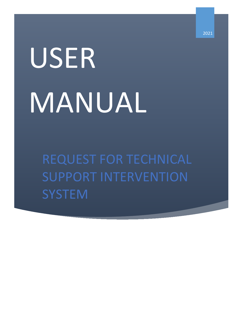## USER MANUAL

REQUEST FOR TECHNICAL SUPPORT INTERVENTION **SYSTEM**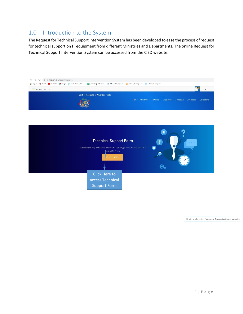## 1.0 Introduction to the System

The Request for Technical Support Intervention System has been developed to ease the process of request for technical support on IT equipment from different Ministries and Departments. The online Request for Technical Support Intervention System can be accessed from the CISD website:



Ministry of Information Technology, Communication and Innovation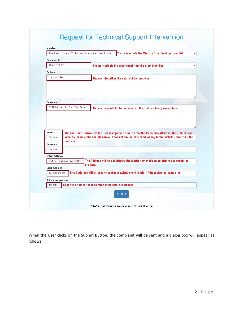|  |  | <b>Request for Technical Support Intervention</b> |
|--|--|---------------------------------------------------|

|                                                                                                      | Ministry of Information Technology, Communication and Innovation. | The user selects the Ministry from the drop down list                                                 | $\checkmark$ |  |
|------------------------------------------------------------------------------------------------------|-------------------------------------------------------------------|-------------------------------------------------------------------------------------------------------|--------------|--|
| Department:                                                                                          |                                                                   |                                                                                                       |              |  |
| HEAD OFFICE                                                                                          |                                                                   | The user selects the department from the drop down list                                               |              |  |
| Problem:                                                                                             |                                                                   |                                                                                                       |              |  |
| Screen Is Black                                                                                      |                                                                   | The user describes the nature of the problem                                                          |              |  |
|                                                                                                      |                                                                   |                                                                                                       |              |  |
| <b>Remarks:</b>                                                                                      |                                                                   |                                                                                                       |              |  |
|                                                                                                      | PC Not Responding Since Two Days                                  | The user can add further remarks on the problem being encountered                                     |              |  |
|                                                                                                      |                                                                   |                                                                                                       |              |  |
|                                                                                                      |                                                                   | The name and surname of the user is important here, so that the technician attending the problem will |              |  |
| Firstname                                                                                            | problem                                                           | know the name of the complainant and contact him/her if needed for any further details concerning the |              |  |
| Surname                                                                                              |                                                                   |                                                                                                       |              |  |
|                                                                                                      |                                                                   |                                                                                                       |              |  |
|                                                                                                      | 4th Floor Emmanuel Anquetil Bidg                                  | The Address will help to identify the location when the technician has to attend the                  |              |  |
|                                                                                                      |                                                                   | problem                                                                                               |              |  |
| mail@govmu.org                                                                                       |                                                                   | Email address will be used to sent acknowledgement receipt of the registered complaint                |              |  |
|                                                                                                      |                                                                   |                                                                                                       |              |  |
| Name:<br>Sumame:<br><b>Office Address:</b><br><b>Email Address:</b><br>Telephone Number:<br>ooo booo |                                                                   | Telephone Number is required if more details is needed                                                |              |  |

When the User clicks on the Submit Button, the complaint will be sent and a dialog box will appear as follows: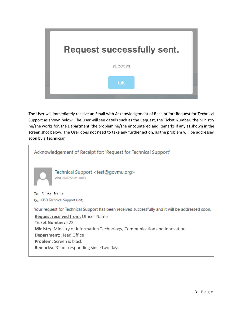

The User will immediately receive an Email with Acknowledgement of Receipt for: Request for Technical Support as shown below. The User will see details such as the Request, the Ticket Number, the Ministry he/she works for, the Department, the problem he/she encountered and Remarks if any as shown in the screen shot below. The User does not need to take any further action, as the problem will be addressed soon by a Technician.

| Acknowledgement of Receipt for: 'Request for Technical Support'                                  |
|--------------------------------------------------------------------------------------------------|
| Technical Support <test@govmu.org><br/>Wed 07/07/2021 10:03</test@govmu.org>                     |
| Officer Name<br>To:                                                                              |
| Cc: CISD Technical Support Unit:                                                                 |
| Your request for Technical Support has been received successfully and it will be addressed soon. |
| <b>Request received from: Officer Name</b>                                                       |
| <b>Ticket Number: 222</b>                                                                        |
| <b>Ministry:</b> Ministry of Information Technology, Communication and Innovation                |
| <b>Department: Head Office</b>                                                                   |
| <b>Problem:</b> Screen is black                                                                  |
| <b>Remarks:</b> PC not responding since two days                                                 |